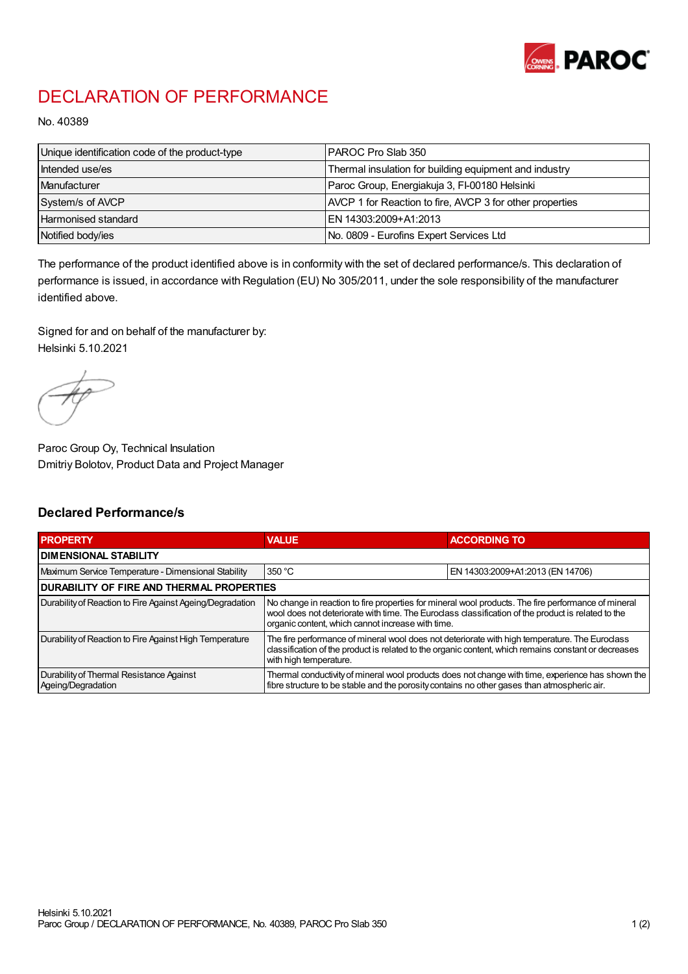

## DECLARATION OF PERFORMANCE

No. 40389

| Unique identification code of the product-type | IPAROC Pro Slab 350                                      |
|------------------------------------------------|----------------------------------------------------------|
| Intended use/es                                | Thermal insulation for building equipment and industry   |
| Manufacturer                                   | Paroc Group, Energiakuja 3, FI-00180 Helsinki            |
| System/s of AVCP                               | AVCP 1 for Reaction to fire, AVCP 3 for other properties |
| Harmonised standard                            | IEN 14303:2009+A1:2013                                   |
| Notified body/ies                              | No. 0809 - Eurofins Expert Services Ltd                  |

The performance of the product identified above is in conformity with the set of declared performance/s. This declaration of performance is issued, in accordance with Regulation (EU) No 305/2011, under the sole responsibility of the manufacturer identified above.

Signed for and on behalf of the manufacturer by: Helsinki 5.10.2021

Paroc Group Oy, Technical Insulation Dmitriy Bolotov, Product Data and Project Manager

## Declared Performance/s

| <b>PROPERTY</b>                                                | <b>VALUE</b>                                                                                                                                                                                                                                                   | <b>ACCORDING TO.</b>             |  |
|----------------------------------------------------------------|----------------------------------------------------------------------------------------------------------------------------------------------------------------------------------------------------------------------------------------------------------------|----------------------------------|--|
| <b>DIMENSIONAL STABILITY</b>                                   |                                                                                                                                                                                                                                                                |                                  |  |
| Maximum Service Temperature - Dimensional Stability            | 350 °C                                                                                                                                                                                                                                                         | EN 14303:2009+A1:2013 (EN 14706) |  |
| <b>DURABILITY OF FIRE AND THERMAL PROPERTIES</b>               |                                                                                                                                                                                                                                                                |                                  |  |
| Durability of Reaction to Fire Against Ageing/Degradation      | No change in reaction to fire properties for mineral wool products. The fire performance of mineral<br>wool does not deteriorate with time. The Euroclass classification of the product is related to the<br>organic content, which cannot increase with time. |                                  |  |
| Durability of Reaction to Fire Against High Temperature        | The fire performance of mineral wool does not deteriorate with high temperature. The Euroclass<br>classification of the product is related to the organic content, which remains constant or decreases<br>with high temperature.                               |                                  |  |
| Durability of Thermal Resistance Against<br>Ageing/Degradation | Thermal conductivity of mineral wool products does not change with time, experience has shown the<br>fibre structure to be stable and the porosity contains no other gases than atmospheric air.                                                               |                                  |  |